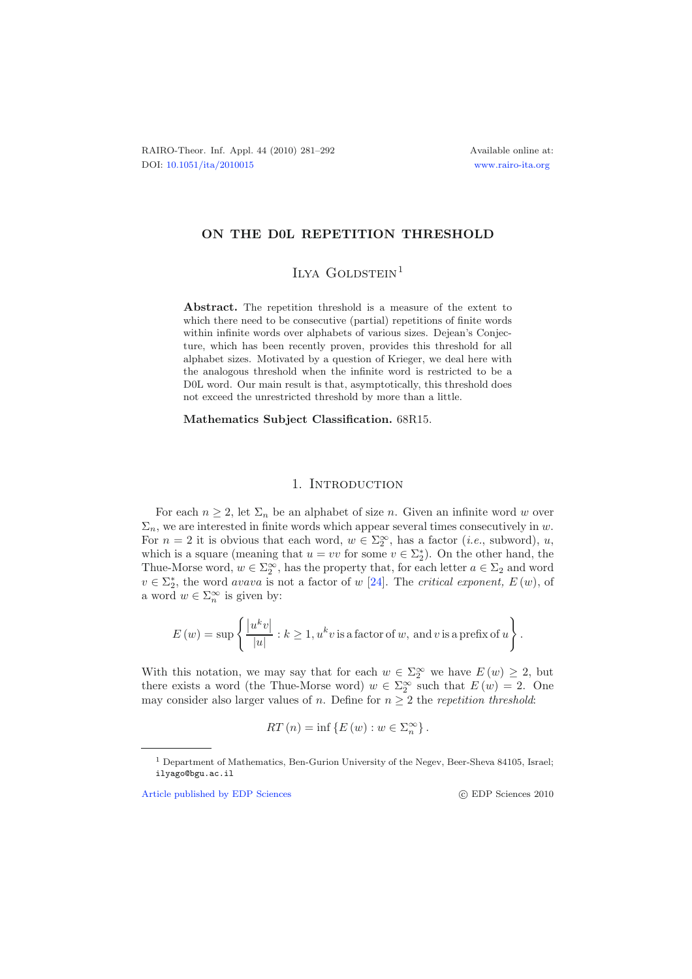## **ON THE D0L REPETITION THRESHOLD**

ILYA  $GOLDSTEIN<sup>1</sup>$ 

**Abstract.** The repetition threshold is a measure of the extent to which there need to be consecutive (partial) repetitions of finite words within infinite words over alphabets of various sizes. Dejean's Conjecture, which has been recently proven, provides this threshold for all alphabet sizes. Motivated by a question of Krieger, we deal here with the analogous threshold when the infinite word is restricted to be a D0L word. Our main result is that, asymptotically, this threshold does not exceed the unrestricted threshold by more than a little.

**Mathematics Subject Classification.** 68R15.

## 1. INTRODUCTION

For each  $n \geq 2$ , let  $\Sigma_n$  be an alphabet of size n. Given an infinite word w over  $\Sigma_n$ , we are interested in finite words which appear several times consecutively in w. For  $n = 2$  it is obvious that each word,  $w \in \Sigma_2^{\infty}$ , has a factor *(i.e.*, subword), u, which is a square (meaning that  $u = vv$  for some  $v \in \Sigma_2^*$ ). On the other hand, the Thue-Morse word,  $w \in \Sigma_2^{\infty}$ , has the property that, for each letter  $a \in \Sigma_2$  and word  $v \in \Sigma_2^*$ , the word *avava* is not a factor of w [\[24\]](#page-11-0). The *critical exponent*,  $E(w)$ , of a word  $w \in \Sigma_n^{\infty}$  is given by:

$$
E(w) = \sup \left\{ \frac{|u^k v|}{|u|} : k \ge 1, u^k v \text{ is a factor of } w, \text{ and } v \text{ is a prefix of } u \right\}.
$$

With this notation, we may say that for each  $w \in \Sigma_2^{\infty}$  we have  $E(w) \geq 2$ , but there exists a word (the Thue-Morse word)  $w \in \Sigma_2^{\infty}$  such that  $E(w) = 2$ . One may consider also larger values of n. Define for  $n \geq 2$  the *repetition threshold*:

$$
RT(n) = \inf \left\{ E(w) : w \in \Sigma_n^{\infty} \right\}.
$$

[Article published by EDP Sciences](http://www.edpsciences.org)

<sup>1</sup> Department of Mathematics, Ben-Gurion University of the Negev, Beer-Sheva 84105, Israel; ilyago@bgu.ac.il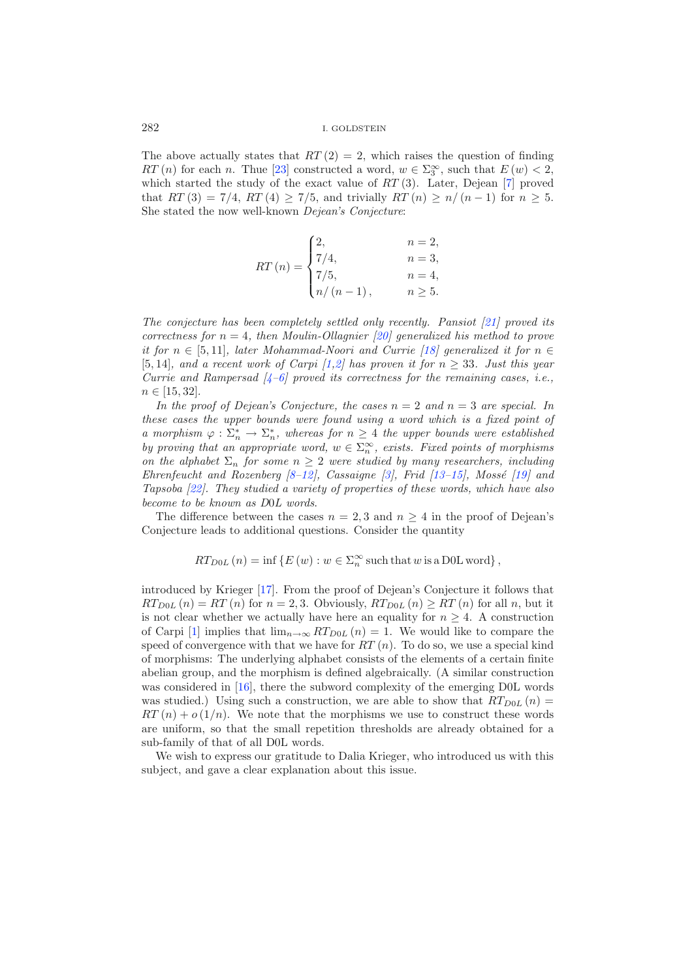The above actually states that  $RT(2) = 2$ , which raises the question of finding RT (n) for each n. Thue [\[23](#page-11-1)] constructed a word,  $w \in \Sigma_3^{\infty}$ , such that  $E(w) < 2$ , which started the study of the exact value of  $RT(3)$ . Later, Dejean [\[7](#page-11-2)] proved that  $RT(3) = 7/4$ ,  $RT(4) \ge 7/5$ , and trivially  $RT(n) \ge n/(n-1)$  for  $n \ge 5$ . She stated the now well-known *Dejean's Conjecture*:

$$
RT(n) = \begin{cases} 2, & n = 2, \\ 7/4, & n = 3, \\ 7/5, & n = 4, \\ n/(n-1), & n \ge 5. \end{cases}
$$

*The conjecture has been completely settled only recently. Pansiot [\[21](#page-11-3)] proved its correctness for*  $n = 4$ *, then Moulin-Ollagnier [\[20](#page-11-4)] generalized his method to prove it for*  $n \in [5, 11]$ *, later Mohammad-Noori and Currie [\[18](#page-11-5)] generalized it for*  $n \in$ [5, 14]*, and a recent work of Carpi [\[1](#page-10-0)[,2](#page-10-1)] has proven it for*  $n \geq 33$ *. Just this year Currie and Rampersad [\[4](#page-11-6)[–6](#page-11-7)] proved its correctness for the remaining cases, i.e.,*  $n \in [15, 32]$ .

*In the proof of Dejean's Conjecture, the cases*  $n = 2$  *and*  $n = 3$  *are special. In these cases the upper bounds were found using a word which is a fixed point of a* morphism  $\varphi : \Sigma_n^* \to \Sigma_n^*$ , whereas for  $n \geq 4$  the upper bounds were established *by proving that an appropriate word,*  $w \in \sum_{n=1}^{\infty}$ , exists. Fixed points of morphisms *on the alphabet*  $\Sigma_n$  *for some*  $n \geq 2$  *were studied by many researchers, including Ehrenfeucht and Rozenberg [\[8](#page-11-8)-12], Cassaigne [\[3\]](#page-10-2), Frid [\[13](#page-11-10)-15], Mossé [\[19\]](#page-11-12) and Tapsoba [\[22](#page-11-13)]. They studied a variety of properties of these words, which have also become to be known as D*0*L words*.

The difference between the cases  $n = 2, 3$  and  $n \geq 4$  in the proof of Dejean's Conjecture leads to additional questions. Consider the quantity

$$
RT_{D0L}(n) = \inf \{ E(w) : w \in \Sigma_n^{\infty} \text{ such that } w \text{ is a D0L word } \},
$$

introduced by Krieger [\[17\]](#page-11-14). From the proof of Dejean's Conjecture it follows that  $RT_{D0L}(n) = RT(n)$  for  $n = 2, 3$ . Obviously,  $RT_{D0L}(n) \geq RT(n)$  for all n, but it is not clear whether we actually have here an equality for  $n \geq 4$ . A construction of Carpi [\[1\]](#page-10-0) implies that  $\lim_{n\to\infty} RT_{D0L}(n) = 1$ . We would like to compare the speed of convergence with that we have for  $RT(n)$ . To do so, we use a special kind of morphisms: The underlying alphabet consists of the elements of a certain finite abelian group, and the morphism is defined algebraically. (A similar construction was considered in [\[16\]](#page-11-15), there the subword complexity of the emerging D0L words was studied.) Using such a construction, we are able to show that  $RT_{D0L}(n)$  $RT(n) + o(1/n)$ . We note that the morphisms we use to construct these words are uniform, so that the small repetition thresholds are already obtained for a sub-family of that of all D0L words.

We wish to express our gratitude to Dalia Krieger, who introduced us with this subject, and gave a clear explanation about this issue.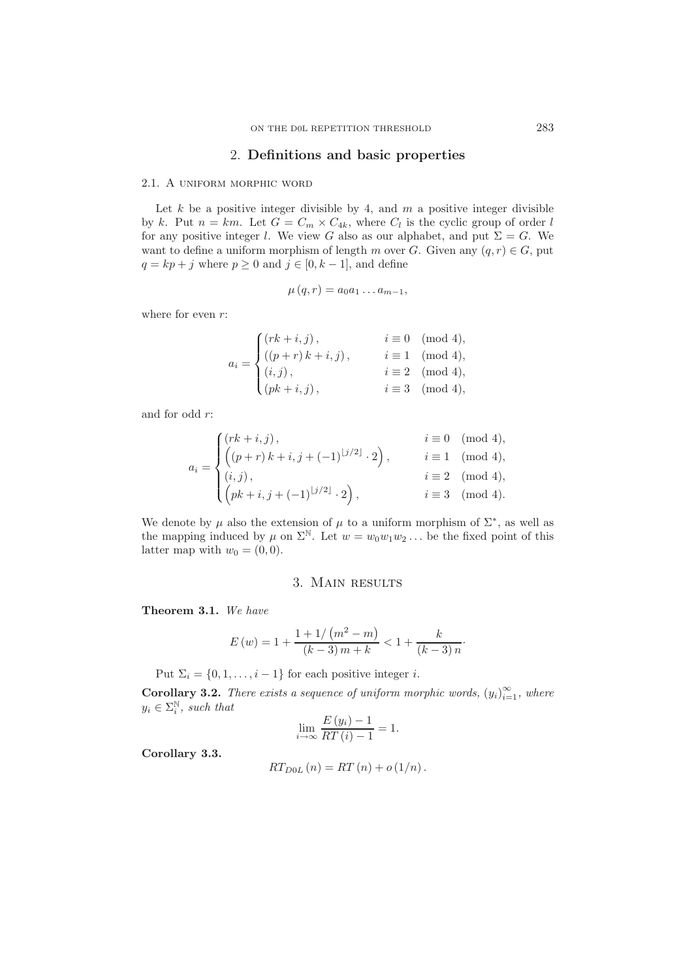## 2. **Definitions and basic properties**

## 2.1. A uniform morphic word

Let  $k$  be a positive integer divisible by 4, and  $m$  a positive integer divisible by k. Put  $n = km$ . Let  $G = C_m \times C_{4k}$ , where  $C_l$  is the cyclic group of order l for any positive integer l. We view G also as our alphabet, and put  $\Sigma = G$ . We want to define a uniform morphism of length m over G. Given any  $(q, r) \in G$ , put  $q = kp + j$  where  $p \ge 0$  and  $j \in [0, k - 1]$ , and define

$$
\mu(q,r) = a_0 a_1 \dots a_{m-1},
$$

where for even  $r$ :

$$
a_i = \begin{cases} (rk + i, j), & i \equiv 0 \pmod{4}, \\ ((p + r) k + i, j), & i \equiv 1 \pmod{4}, \\ (i, j), & i \equiv 2 \pmod{4}, \\ (pk + i, j), & i \equiv 3 \pmod{4}, \end{cases}
$$

and for odd r:

$$
a_i = \begin{cases} (rk + i, j), & i \equiv 0 \pmod{4}, \\ \left( (p + r) k + i, j + (-1)^{\lfloor j/2 \rfloor} \cdot 2 \right), & i \equiv 1 \pmod{4}, \\ (i, j), & i \equiv 2 \pmod{4}, \\ \left( pk + i, j + (-1)^{\lfloor j/2 \rfloor} \cdot 2 \right), & i \equiv 3 \pmod{4}. \end{cases}
$$

We denote by  $\mu$  also the extension of  $\mu$  to a uniform morphism of  $\Sigma^*$ , as well as the mapping induced by  $\mu$  on  $\Sigma^{\mathbb{N}}$ . Let  $w = w_0w_1w_2...$  be the fixed point of this latter map with  $w_0 = (0, 0)$ .

## 3. Main results

<span id="page-2-0"></span>**Theorem 3.1.** *We have*

$$
E(w) = 1 + \frac{1 + 1/(m^2 - m)}{(k - 3)m + k} < 1 + \frac{k}{(k - 3)n}.
$$

Put  $\Sigma_i = \{0, 1, \ldots, i-1\}$  for each positive integer *i*.

**Corollary 3.2.** *There exists a sequence of uniform morphic words,*  $(y_i)_{i=1}^{\infty}$ *, where*  $y_i \in \Sigma_i^{\mathbb{N}}$ , such that

$$
\lim_{i \to \infty} \frac{E(y_i) - 1}{RT(i) - 1} = 1.
$$

**Corollary 3.3.**

$$
RT_{D0L}(n) = RT(n) + o(1/n).
$$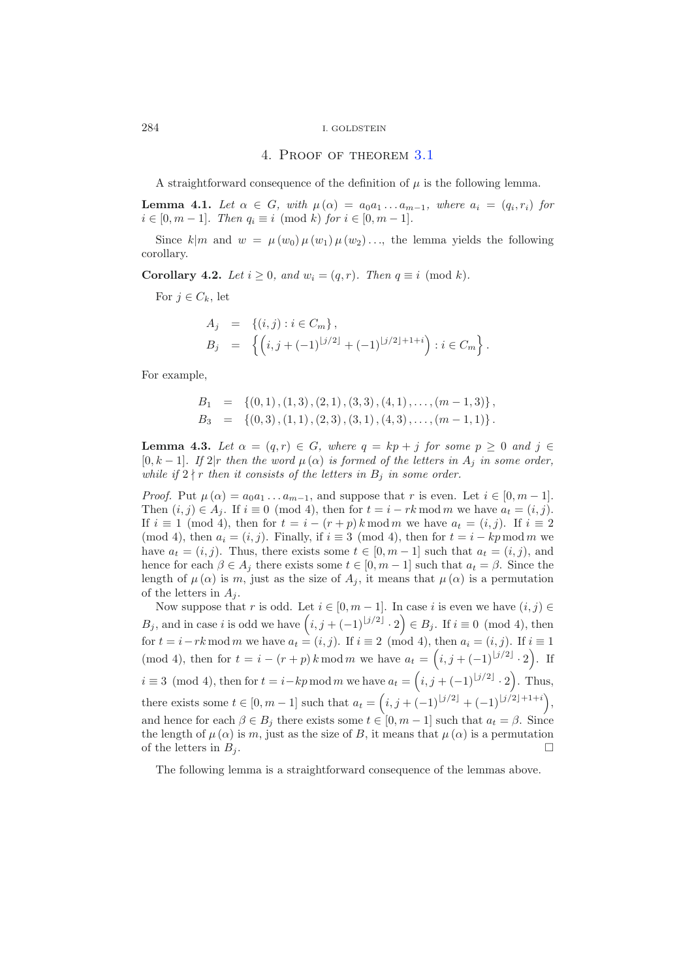#### 4. Proof of theorem [3.1](#page-2-0)

A straightforward consequence of the definition of  $\mu$  is the following lemma.

<span id="page-3-0"></span>**Lemma 4.1.** Let  $\alpha \in G$ , with  $\mu(\alpha) = a_0 a_1 \ldots a_{m-1}$ , where  $a_i = (q_i, r_i)$  for  $i \in [0, m − 1]$ *. Then*  $q_i \equiv i \pmod{k}$  *for*  $i \in [0, m − 1]$ *.* 

<span id="page-3-3"></span>Since  $k|m$  and  $w = \mu(w_0) \mu(w_1) \mu(w_2) \ldots$ , the lemma yields the following corollary.

**Corollary 4.2.** *Let*  $i \geq 0$ *, and*  $w_i = (q, r)$ *. Then*  $q \equiv i \pmod{k}$ *.* 

For  $j \in C_k$ , let

$$
A_j = \{(i, j) : i \in C_m\},
$$
  
\n
$$
B_j = \left\{ (i, j + (-1)^{\lfloor j/2 \rfloor} + (-1)^{\lfloor j/2 \rfloor + 1 + i} \right) : i \in C_m \right\}.
$$

For example,

$$
B_1 = \{ (0,1), (1,3), (2,1), (3,3), (4,1), \ldots, (m-1,3) \},
$$
  
\n
$$
B_3 = \{ (0,3), (1,1), (2,3), (3,1), (4,3), \ldots, (m-1,1) \}.
$$

<span id="page-3-1"></span>**Lemma 4.3.** *Let*  $\alpha = (q, r) \in G$ *, where*  $q = kp + j$  *for some*  $p \ge 0$  *and*  $j \in G$ [0, k – 1]. If  $2|r$  then the word  $\mu(\alpha)$  is formed of the letters in  $A_i$  in some order, *while if*  $2 \nmid r$  *then it consists of the letters in*  $B_j$  *in some order.* 

*Proof.* Put  $\mu(\alpha) = a_0 a_1 \dots a_{m-1}$ , and suppose that r is even. Let  $i \in [0, m-1]$ . Then  $(i, j) \in A_j$ . If  $i \equiv 0 \pmod{4}$ , then for  $t = i - rk \mod m$  we have  $a_t = (i, j)$ . If  $i \equiv 1 \pmod{4}$ , then for  $t = i - (r + p)k \mod m$  we have  $a_t = (i, j)$ . If  $i \equiv 2$ (mod 4), then  $a_i = (i, j)$ . Finally, if  $i \equiv 3 \pmod{4}$ , then for  $t = i - kp \mod m$  we have  $a_t = (i, j)$ . Thus, there exists some  $t \in [0, m-1]$  such that  $a_t = (i, j)$ , and hence for each  $\beta \in A_j$  there exists some  $t \in [0, m-1]$  such that  $a_t = \beta$ . Since the length of  $\mu(\alpha)$  is m, just as the size of  $A_j$ , it means that  $\mu(\alpha)$  is a permutation of the letters in  $A_i$ .

Now suppose that r is odd. Let  $i \in [0, m-1]$ . In case i is even we have  $(i, j) \in$ B<sub>j</sub>, and in case i is odd we have  $(i, j + (-1)^{\lfloor j/2 \rfloor} \cdot 2) \in B_j$ . If  $i \equiv 0 \pmod{4}$ , then for  $t = i - rk \mod m$  we have  $a_t = (i, j)$ . If  $i \equiv 2 \pmod{4}$ , then  $a_i = (i, j)$ . If  $i \equiv 1$ (mod 4), then for  $t = i - (r + p) k \mod m$  we have  $a_t = (i, j + (-1)^{\lfloor j/2 \rfloor} \cdot 2)$ . If  $i \equiv 3 \pmod{4}$ , then for  $t = i - kp \mod m$  we have  $a_t = (i, j + (-1)^{\lfloor j/2 \rfloor} \cdot 2)$ . Thus, there exists some  $t \in [0, m-1]$  such that  $a_t = (i, j + (-1)^{\lfloor j/2 \rfloor} + (-1)^{\lfloor j/2 \rfloor + 1 + i}),$ and hence for each  $\beta \in B_i$  there exists some  $t \in [0, m-1]$  such that  $a_t = \beta$ . Since the length of  $\mu(\alpha)$  is m, just as the size of B, it means that  $\mu(\alpha)$  is a permutation of the letters in  $B_j$ .

<span id="page-3-2"></span>The following lemma is a straightforward consequence of the lemmas above.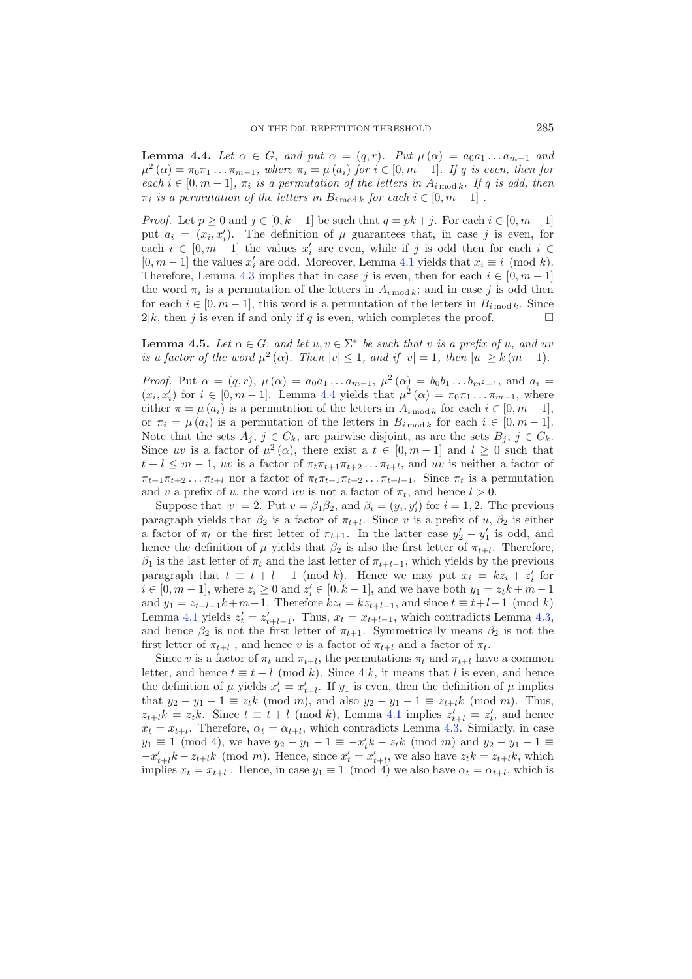**Lemma 4.4.** *Let*  $\alpha \in G$ *, and put*  $\alpha = (q, r)$ *. Put*  $\mu(\alpha) = a_0 a_1 ... a_{m-1}$  *and*  $\mu^2(\alpha) = \pi_0 \pi_1 \dots \pi_{m-1}$ , where  $\pi_i = \mu(a_i)$  for  $i \in [0, m-1]$ . If q is even, then for *each*  $i \in [0, m-1]$ ,  $\pi_i$  *is a permutation of the letters in*  $A_{i \mod k}$ *. If* q *is odd, then*  $\pi_i$  *is a permutation of the letters in*  $B_{i \text{ mod } k}$  *for each*  $i \in [0, m-1]$ .

*Proof.* Let  $p \ge 0$  and  $j \in [0, k-1]$  be such that  $q = pk + j$ . For each  $i \in [0, m-1]$ put  $a_i = (x_i, x'_i)$ . The definition of  $\mu$  guarantees that, in case j is even, for each  $i \in [0, m-1]$  the values  $x'_i$  are even, while if j is odd then for each  $i \in$  $[0, m - 1]$  the values  $x'_i$  are odd. Moreover, Lemma [4.1](#page-3-0) yields that  $x_i \equiv i \pmod{k}$ . Therefore, Lemma [4.3](#page-3-1) implies that in case j is even, then for each  $i \in [0, m-1]$ the word  $\pi_i$  is a permutation of the letters in  $A_{i \bmod k}$ ; and in case j is odd then for each  $i \in [0, m-1]$ , this word is a permutation of the letters in  $B_{i \text{ mod } k}$ . Since  $2|k$ , then j is even if and only if q is even, which completes the proof.  $\Box$ 

<span id="page-4-0"></span>**Lemma 4.5.** *Let*  $\alpha \in G$ *, and let*  $u, v \in \Sigma^*$  *be such that* v *is a prefix of*  $u$ *, and uv is a factor of the word*  $\mu^2(\alpha)$ *. Then*  $|v| \leq 1$ *, and if*  $|v| = 1$ *, then*  $|u| \geq k(m-1)$ *.* 

*Proof.* Put  $\alpha = (q, r)$ ,  $\mu(\alpha) = a_0 a_1 \dots a_{m-1}$ ,  $\mu^2(\alpha) = b_0 b_1 \dots b_{m^2-1}$ , and  $a_i =$  $(x_i, x'_i)$  for  $i \in [0, m-1]$ . Lemma [4.4](#page-3-2) yields that  $\mu^2(\alpha) = \pi_0 \pi_1 \dots \pi_{m-1}$ , where either  $\pi = \mu(a_i)$  is a permutation of the letters in  $A_{i \mod k}$  for each  $i \in [0, m-1]$ , or  $\pi_i = \mu(a_i)$  is a permutation of the letters in  $B_{i \bmod k}$  for each  $i \in [0, m-1]$ . Note that the sets  $A_j$ ,  $j \in C_k$ , are pairwise disjoint, as are the sets  $B_j$ ,  $j \in C_k$ . Since uv is a factor of  $\mu^2(\alpha)$ , there exist a  $t \in [0, m-1]$  and  $l \geq 0$  such that  $t + l \leq m - 1$ , uv is a factor of  $\pi_t \pi_{t+1} \pi_{t+2} \dots \pi_{t+l}$ , and uv is neither a factor of  $\pi_{t+1}\pi_{t+2}\ldots\pi_{t+l}$  nor a factor of  $\pi_t\pi_{t+1}\pi_{t+2}\ldots\pi_{t+l-1}$ . Since  $\pi_t$  is a permutation and v a prefix of u, the word uv is not a factor of  $\pi_t$ , and hence  $l > 0$ .

Suppose that  $|v| = 2$ . Put  $v = \beta_1 \beta_2$ , and  $\beta_i = (y_i, y'_i)$  for  $i = 1, 2$ . The previous paragraph yields that  $\beta_2$  is a factor of  $\pi_{t+l}$ . Since v is a prefix of u,  $\beta_2$  is either a factor of  $\pi_t$  or the first letter of  $\pi_{t+1}$ . In the latter case  $y_2' - y_1'$  is odd, and hence the definition of  $\mu$  yields that  $\beta_2$  is also the first letter of  $\pi_{t+l}$ . Therefore,  $β<sub>1</sub>$  is the last letter of  $π<sub>t</sub>$  and the last letter of  $π<sub>t+l-1</sub>$ , which yields by the previous paragraph that  $t \equiv t + l - 1 \pmod{k}$ . Hence we may put  $x_i = kz_i + z'_i$  for *i* ∈ [0, *m* − 1], where  $z_i \ge 0$  and  $z'_i$  ∈ [0, *k* − 1], and we have both  $y_1 = z_t k + m - 1$ and  $y_1 = z_{t+l-1}k+m-1$ . Therefore  $kz_t = kz_{t+l-1}$ , and since  $t \equiv t+l-1 \pmod{k}$ Lemma [4.1](#page-3-0) yields  $z'_t = z'_{t+l-1}$ . Thus,  $x_t = x_{t+l-1}$ , which contradicts Lemma [4.3,](#page-3-1) and hence  $\beta_2$  is not the first letter of  $\pi_{t+1}$ . Symmetrically means  $\beta_2$  is not the first letter of  $\pi_{t+l}$ , and hence v is a factor of  $\pi_{t+l}$  and a factor of  $\pi_t$ .

Since v is a factor of  $\pi_t$  and  $\pi_{t+1}$ , the permutations  $\pi_t$  and  $\pi_{t+1}$  have a common letter, and hence  $t \equiv t + l \pmod{k}$ . Since 4|k, it means that l is even, and hence the definition of  $\mu$  yields  $x'_t = x'_{t+t}$ . If  $y_1$  is even, then the definition of  $\mu$  implies that  $y_2 - y_1 - 1 \equiv z_t k \pmod{m}$ , and also  $y_2 - y_1 - 1 \equiv z_{t+1} k \pmod{m}$ . Thus,  $z_{t+l}$   $k = z_t k$ . Since  $t \equiv t + l \pmod{k}$ , Lemma [4.1](#page-3-0) implies  $z'_{t+l} = z'_t$ , and hence  $x_t = x_{t+l}$ . Therefore,  $\alpha_t = \alpha_{t+l}$ , which contradicts Lemma [4.3.](#page-3-1) Similarly, in case  $y_1 \equiv 1 \pmod{4}$ , we have  $y_2 - y_1 - 1 \equiv -x'_i k - z_t k \pmod{m}$  and  $y_2 - y_1 - 1 \equiv$  $-x'_{t+l}k - z_{t+l}k \pmod{m}$ . Hence, since  $x'_{t} = x'_{t+l}$ , we also have  $z_{t}k = z_{t+l}k$ , which implies  $x_t = x_{t+l}$ . Hence, in case  $y_1 \equiv 1 \pmod{4}$  we also have  $\alpha_t = \alpha_{t+l}$ , which is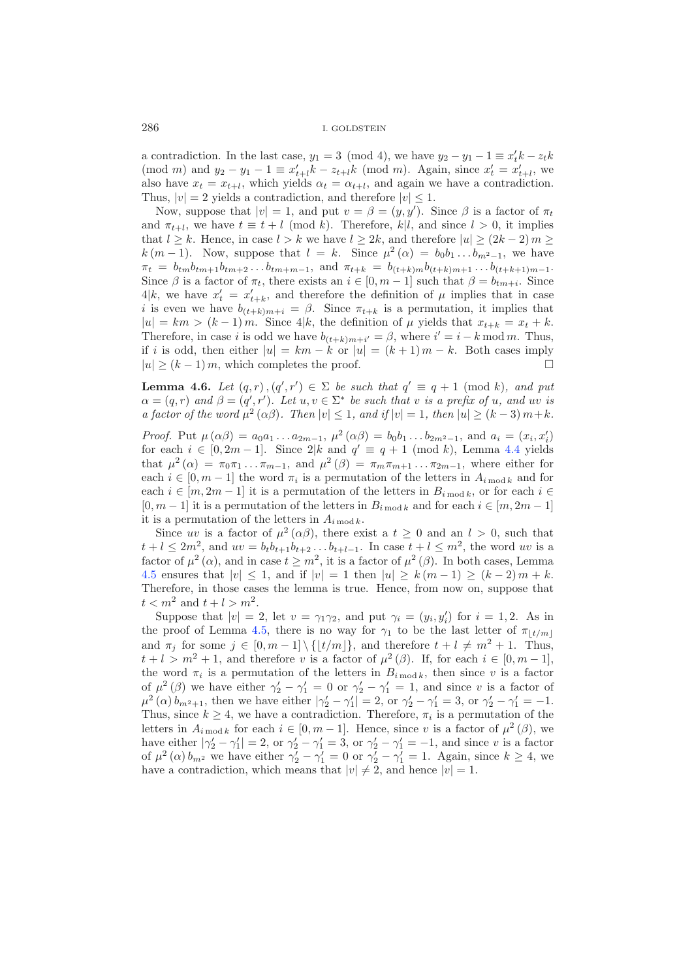a contradiction. In the last case,  $y_1 = 3 \pmod{4}$ , we have  $y_2 - y_1 - 1 \equiv x'_t k - z_t k$  $p_1 \text{ (mod } m) \text{ and } y_2 - y_1 - 1 \equiv x'_{t+l}k - z_{t+l}k \text{ (mod } m).$  Again, since  $x'_t = x'_{t+l}$ , we also have  $x_t = x_{t+l}$ , which yields  $\alpha_t = \alpha_{t+l}$ , and again we have a contradiction. Thus,  $|v| = 2$  yields a contradiction, and therefore  $|v| \leq 1$ .

Now, suppose that  $|v| = 1$ , and put  $v = \beta = (y, y')$ . Since  $\beta$  is a factor of  $\pi_t$ and  $\pi_{t+l}$ , we have  $t \equiv t + l \pmod{k}$ . Therefore, k|l, and since  $l > 0$ , it implies that  $l \geq k$ . Hence, in case  $l > k$  we have  $l \geq 2k$ , and therefore  $|u| \geq (2k-2) m \geq$  $k(m-1)$ . Now, suppose that  $l = k$ . Since  $\mu^2(\alpha) = b_0b_1 \ldots b_{m^2-1}$ , we have  $\pi_t = b_{tm}b_{tm+1}b_{tm+2}\dots b_{tm+m-1}$ , and  $\pi_{t+k} = b_{(t+k)m}b_{(t+k)m+1}\dots b_{(t+k+1)m-1}$ . Since  $\beta$  is a factor of  $\pi_t$ , there exists an  $i \in [0, m-1]$  such that  $\beta = b_{tm+i}$ . Since  $4|k$ , we have  $x'_t = x'_{t+k}$ , and therefore the definition of  $\mu$  implies that in case i is even we have  $b_{(t+k)m+i} = \beta$ . Since  $\pi_{t+k}$  is a permutation, it implies that  $|u| = km > (k-1)m$ . Since  $4|k$ , the definition of  $\mu$  yields that  $x_{t+k} = x_t + k$ . Therefore, in case *i* is odd we have  $b_{(t+k)m+i'} = \beta$ , where  $i' = i - k \mod m$ . Thus, if i is odd, then either  $|u| = km - k$  or  $|u| = (k + 1)m - k$ . Both cases imply  $|u| > (k-1) m$ , which completes the proof.  $\Box$ 

**Lemma 4.6.** *Let*  $(q, r)$ ,  $(q', r') \in \Sigma$  *be such that*  $q' \equiv q + 1 \pmod{k}$ , and put  $\alpha = (q, r)$  and  $\beta = (q', r')$ . Let  $u, v \in \Sigma^*$  be such that v is a prefix of u, and uv is *a factor of the word*  $\mu^2(\alpha\beta)$ *. Then*  $|v| \leq 1$ *, and if*  $|v| = 1$ *, then*  $|u| \geq (k-3)m+k$ *.* 

*Proof.* Put  $\mu(\alpha\beta) = a_0a_1 \dots a_{2m-1}, \mu^2(\alpha\beta) = b_0b_1 \dots b_{2m^2-1},$  and  $a_i = (x_i, x'_i)$ for each  $i \in [0, 2m-1]$ . Since  $2|k$  and  $q' \equiv q+1 \pmod{k}$ , Lemma [4.4](#page-3-2) yields that  $\mu^2(\alpha) = \pi_0 \pi_1 \dots \pi_{m-1}$ , and  $\mu^2(\beta) = \pi_m \pi_{m+1} \dots \pi_{2m-1}$ , where either for each  $i \in [0, m-1]$  the word  $\pi_i$  is a permutation of the letters in  $A_{i \text{ mod } k}$  and for each  $i \in [m, 2m-1]$  it is a permutation of the letters in  $B_{i \mod k}$ , or for each  $i \in$  $[0, m - 1]$  it is a permutation of the letters in  $B_{i \text{ mod } k}$  and for each  $i \in [m, 2m - 1]$ it is a permutation of the letters in  $A_{i \bmod k}$ .

Since uv is a factor of  $\mu^2(\alpha\beta)$ , there exist a  $t \geq 0$  and an  $l > 0$ , such that  $t + l \le 2m^2$ , and  $uv = b_t b_{t+1} b_{t+2} ... b_{t+l-1}$ . In case  $t + l \le m^2$ , the word uv is a factor of  $\mu^2(\alpha)$ , and in case  $t \geq m^2$ , it is a factor of  $\mu^2(\beta)$ . In both cases, Lemma [4.5](#page-4-0) ensures that  $|v| \leq 1$ , and if  $|v| = 1$  then  $|u| \geq k(m-1) \geq (k-2)m + k$ . Therefore, in those cases the lemma is true. Hence, from now on, suppose that  $t < m^2$  and  $t + l > m^2$ .

Suppose that  $|v| = 2$ , let  $v = \gamma_1 \gamma_2$ , and put  $\gamma_i = (y_i, y'_i)$  for  $i = 1, 2$ . As in the proof of Lemma [4.5,](#page-4-0) there is no way for  $\gamma_1$  to be the last letter of  $\pi_{\lfloor t/m \rfloor}$ and  $\pi_j$  for some  $j \in [0, m-1] \setminus \{|t/m|\}$ , and therefore  $t + l \neq m^2 + 1$ . Thus,  $t + l > m^2 + 1$ , and therefore v is a factor of  $\mu^2(\beta)$ . If, for each  $i \in [0, m - 1]$ , the word  $\pi_i$  is a permutation of the letters in  $B_{i \mod k}$ , then since v is a factor of  $\mu^2(\beta)$  we have either  $\gamma'_2 - \gamma'_1 = 0$  or  $\gamma'_2 - \gamma'_1 = 1$ , and since v is a factor of  $\mu^2(\alpha)b_{m^2+1}$ , then we have either  $|\gamma_2'-\gamma_1'|=2$ , or  $\gamma_2'-\gamma_1'=3$ , or  $\gamma_2'-\gamma_1'=-1$ . Thus, since  $k \geq 4$ , we have a contradiction. Therefore,  $\pi_i$  is a permutation of the letters in  $A_{i \bmod k}$  for each  $i \in [0, m-1]$ . Hence, since v is a factor of  $\mu^2(\beta)$ , we have either  $|\gamma_2'-\gamma_1'|=2$ , or  $\gamma_2'-\gamma_1'=3$ , or  $\gamma_2'-\gamma_1'=-1$ , and since v is a factor of  $\mu^2(\alpha) b_{m^2}$  we have either  $\gamma_2^{\prime} - \gamma_1^{\prime} = 0$  or  $\gamma_2^{\prime} - \gamma_1^{\prime} = 1$ . Again, since  $k \ge 4$ , we have a contradiction, which means that  $|v| \neq 2$ , and hence  $|v| = 1$ .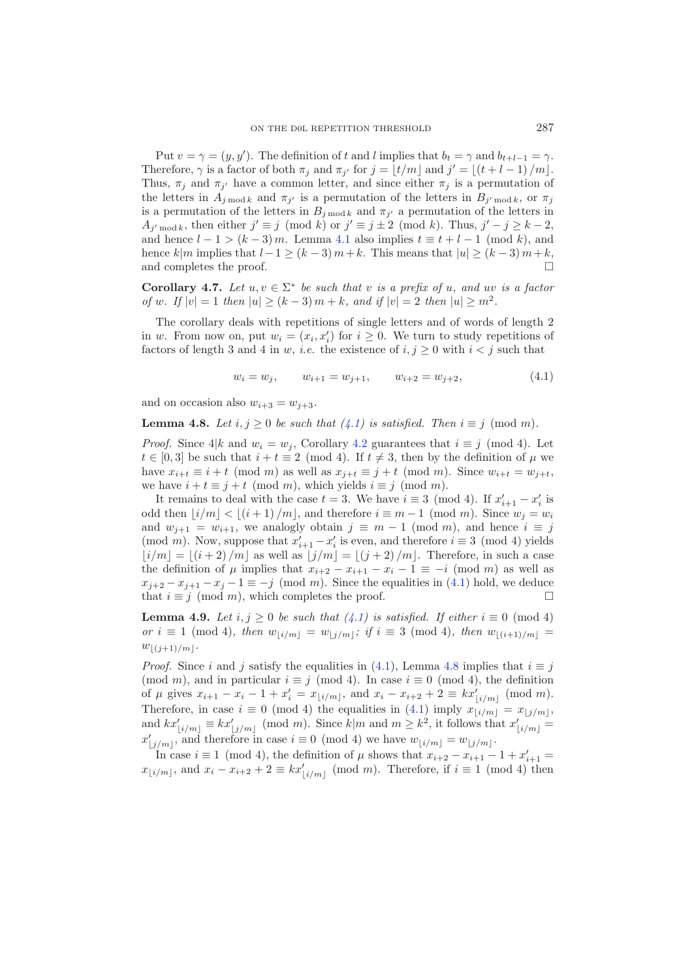<span id="page-6-0"></span>Put  $v = \gamma = (y, y')$ . The definition of t and l implies that  $b_t = \gamma$  and  $b_{t+l-1} = \gamma$ . Therefore,  $\gamma$  is a factor of both  $\pi_j$  and  $\pi_{j'}$  for  $j = \lfloor t/m \rfloor$  and  $j' = \lfloor (t + l - 1)/m \rfloor$ . Thus,  $\pi_j$  and  $\pi_{j'}$  have a common letter, and since either  $\pi_j$  is a permutation of the letters in  $A_{j \text{ mod } k}$  and  $\pi_{j'}$  is a permutation of the letters in  $B_{j' \text{ mod } k}$ , or  $\pi_j$ is a permutation of the letters in  $B_{j \text{ mod } k}$  and  $\pi_{j'}$  a permutation of the letters in  $A_{j' \bmod k}$ , then either  $j' \equiv j \pmod k$  or  $j' \equiv j \pm 2 \pmod k$ . Thus,  $j' - j \ge k - 2$ , and hence  $l - 1 > (k - 3)m$ . Lemma [4.1](#page-3-0) also implies  $t \equiv t + l - 1 \pmod{k}$ , and hence  $k|m$  implies that  $l-1 \ge (k-3)m+k$ . This means that  $|u| \ge (k-3)m+k$ , and completes the proof.  $\Box$ 

<span id="page-6-2"></span>**Corollary 4.7.** *Let*  $u, v \in \Sigma^*$  *be such that* v *is a prefix of* u, and uv *is a factor of* w. If  $|v| = 1$  *then*  $|u| > (k-3)m+k$ , and if  $|v| = 2$  *then*  $|u| > m^2$ .

The corollary deals with repetitions of single letters and of words of length 2 in w. From now on, put  $w_i = (x_i, x'_i)$  for  $i \geq 0$ . We turn to study repetitions of factors of length 3 and 4 in w, *i.e.* the existence of  $i, j \ge 0$  with  $i < j$  such that

$$
w_i = w_j, \qquad w_{i+1} = w_{j+1}, \qquad w_{i+2} = w_{j+2}, \tag{4.1}
$$

<span id="page-6-1"></span>and on occasion also  $w_{i+3} = w_{i+3}$ .

#### **Lemma 4.8.** *Let*  $i, j \geq 0$  *be such that*  $(4.1)$  *is satisfied. Then*  $i \equiv j \pmod{m}$ *.*

*Proof.* Since  $4|k$  and  $w_i = w_j$ , Corollary [4.2](#page-3-3) guarantees that  $i \equiv j \pmod{4}$ . Let  $t \in [0,3]$  be such that  $i + t \equiv 2 \pmod{4}$ . If  $t \neq 3$ , then by the definition of  $\mu$  we have  $x_{i+t} \equiv i+t \pmod{m}$  as well as  $x_{j+t} \equiv j+t \pmod{m}$ . Since  $w_{i+t} = w_{j+t}$ , we have  $i + t \equiv j + t \pmod{m}$ , which yields  $i \equiv j \pmod{m}$ .

It remains to deal with the case  $t = 3$ . We have  $i \equiv 3 \pmod{4}$ . If  $x'_{i+1} - x'_i$  is odd then  $\lfloor i/m \rfloor < \lfloor (i + 1)/m \rfloor$ , and therefore  $i \equiv m - 1 \pmod{m}$ . Since  $w_j = w_i$ and  $w_{j+1} = w_{i+1}$ , we analogly obtain  $j \equiv m-1 \pmod{m}$ , and hence  $i \equiv j$ (mod *m*). Now, suppose that  $x'_{i+1} - x'_{i}$  is even, and therefore  $i \equiv 3 \pmod{4}$  yields  $[i/m] = [(i + 2)/m]$  as well as  $[j/m] = [(j + 2)/m]$ . Therefore, in such a case the definition of  $\mu$  implies that  $x_{i+2} - x_{i+1} - x_i - 1 \equiv -i \pmod{m}$  as well as  $x_{i+2} - x_{i+1} - x_i - 1 \equiv -i \pmod{m}$ . Since the equalities in [\(4.1\)](#page-6-0) hold, we deduce that  $i \equiv j \pmod{m}$ , which completes the proof.  $\Box$ 

<span id="page-6-3"></span>**Lemma 4.9.** *Let*  $i, j \geq 0$  *be such that*  $(4.1)$  *is satisfied. If either*  $i \equiv 0 \pmod{4}$ *or*  $i \equiv 1 \pmod{4}$ *, then*  $w_{i/m} = w_{j/m}$ *; if*  $i \equiv 3 \pmod{4}$ *, then*  $w_{i(i+1)/m}$  $w_{(j+1)/m}$ .

*Proof.* Since i and j satisfy the equalities in [\(4.1\)](#page-6-0), Lemma [4.8](#page-6-1) implies that  $i \equiv j$ (mod m), and in particular  $i \equiv j \pmod{4}$ . In case  $i \equiv 0 \pmod{4}$ , the definition of  $\mu$  gives  $x_{i+1} - x_i - 1 + x'_i = x_{\lfloor i/m \rfloor}$ , and  $x_i - x_{i+2} + 2 \equiv kx'_{\lfloor i/m \rfloor} \pmod{m}$ . Therefore, in case  $i \equiv 0 \pmod{4}$  the equalities in [\(4.1\)](#page-6-0) imply  $x_{\lfloor i/m \rfloor} = x_{\lfloor j/m \rfloor}$ , and  $kx'_{\lfloor i/m\rfloor} \equiv kx'_{\lfloor j/m\rfloor} \pmod{m}$ . Since  $k|m$  and  $m \geq k^2$ , it follows that  $x'_{\lfloor i/m\rfloor} =$  $x'_{\lfloor j/m \rfloor}$ , and therefore in case  $i \equiv 0 \pmod{4}$  we have  $w_{\lfloor i/m \rfloor} = w_{\lfloor j/m \rfloor}$ .

In case  $i \equiv 1 \pmod{4}$ , the definition of  $\mu$  shows that  $x_{i+2} - x_{i+1} - 1 + x'_{i+1} =$  $x_{\lfloor i/m \rfloor}$ , and  $x_i - x_{i+2} + 2 \equiv kx'_{\lfloor i/m \rfloor} \pmod{m}$ . Therefore, if  $i \equiv 1 \pmod{4}$  then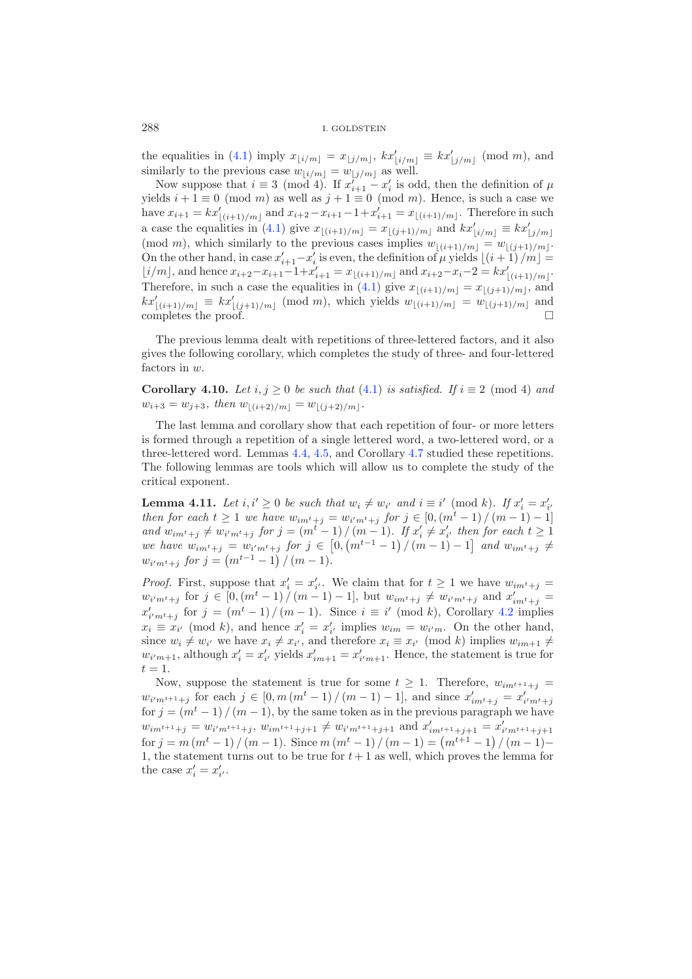the equalities in [\(4.1\)](#page-6-0) imply  $x_{\lfloor i/m \rfloor} = x_{\lfloor j/m \rfloor}$ ,  $kx'_{\lfloor i/m \rfloor} \equiv kx'_{\lfloor j/m \rfloor} \pmod{m}$ , and similarly to the previous case  $w_{i/m} = w_{j/m}$  as well.

Now suppose that  $i \equiv 3 \pmod{4}$ . If  $x'_{i+1} - x'_{i}$  is odd, then the definition of  $\mu$ yields  $i + 1 \equiv 0 \pmod{m}$  as well as  $j + 1 \equiv 0 \pmod{m}$ . Hence, is such a case we have  $x_{i+1} = kx'_{\lfloor (i+1)/m \rfloor}$  and  $x_{i+2}-x_{i+1}-1+x'_{i+1} = x_{\lfloor (i+1)/m \rfloor}$ . Therefore in such a case the equalities in [\(4.1\)](#page-6-0) give  $x_{\lfloor (i+1)/m \rfloor} = x_{\lfloor (j+1)/m \rfloor}$  and  $kx'_{\lfloor i/m \rfloor} \equiv kx'_{\lfloor j/m \rfloor}$ (mod *m*), which similarly to the previous cases implies  $w_{\lfloor (i+1)/m \rfloor} = w_{\lfloor (j+1)/m \rfloor}$ . On the other hand, in case  $x'_{i+1} - x'_{i}$  is even, the definition of  $\mu$  yields  $\lfloor (i + 1)/m \rfloor =$  $\lfloor i/m \rfloor$ , and hence  $x_{i+2}-x_{i+1}-1+x'_{i+1} = x_{\lfloor (i+1)/m \rfloor}$  and  $x_{i+2}-x_i-2 = kx'_{\lfloor (i+1)/m \rfloor}$ . Therefore, in such a case the equalities in [\(4.1\)](#page-6-0) give  $x_{\lfloor (i+1)/m \rfloor} = x_{\lfloor (j+1)/m \rfloor}$ , and  $kx'_{\lfloor (i+1)/m \rfloor} \equiv kx'_{\lfloor (j+1)/m \rfloor} \pmod{m}$ , which yields  $w_{\lfloor (i+1)/m \rfloor} = w_{\lfloor (j+1)/m \rfloor}$  and completes the proof.

The previous lemma dealt with repetitions of three-lettered factors, and it also gives the following corollary, which completes the study of three- and four-lettered factors in w.

<span id="page-7-0"></span>**Corollary 4.10.** *Let*  $i, j \ge 0$  *be such that* [\(4.1\)](#page-6-0) *is satisfied. If*  $i \equiv 2 \pmod{4}$  *and*  $w_{i+3} = w_{j+3}, \text{ then } w_{|(i+2)/m|} = w_{|(j+2)/m|}.$ 

The last lemma and corollary show that each repetition of four- or more letters is formed through a repetition of a single lettered word, a two-lettered word, or a three-lettered word. Lemmas [4.4,](#page-3-2) [4.5,](#page-4-0) and Corollary [4.7](#page-6-2) studied these repetitions. The following lemmas are tools which will allow us to complete the study of the critical exponent.

<span id="page-7-1"></span>**Lemma 4.11.** Let  $i, i' \geq 0$  be such that  $w_i \neq w_{i'}$  and  $i \equiv i' \pmod{k}$ . If  $x'_i = x'_{i'}$ *then for each*  $t \geq 1$  *we have*  $w_{im^t+j} = w_{i'm^t+j}$  *for*  $j \in [0, (m^t-1)/(m-1)-1]$ *and*  $w_{im^t+j} \neq w_{i'm^t+j}$  *for*  $j = (m^t - 1) / (m - 1)$ *. If*  $x'_i \neq x'_{i'}$  *then for each*  $t \geq 1$  $we$  *have*  $w_{im^t+j} = w_{i'm^t+j}$  *for*  $j \in [0, (m^{t-1}-1)/(m-1)-1]$  *and*  $w_{im^t+j} \neq$  $w_{i'm^t+j}$  for  $j = (m^{t-1}-1) / (m-1)$ .

*Proof.* First, suppose that  $x'_i = x'_{i'}$ . We claim that for  $t \geq 1$  we have  $w_{im^t+j} =$  $w_{i'm^t+j}$  for  $j \in [0, (m^t-1)/(m-1)-1]$ , but  $w_{im^t+j} \neq w_{i'm^t+j}$  and  $x'_{im^t+j} =$  $x'_{i'm^t+j}$  for  $j = (m^t-1)/(m-1)$ . Since  $i \equiv i' \pmod{k}$ , Corollary [4.2](#page-3-3) implies  $x_i \equiv x_{i'} \pmod{k}$ , and hence  $x'_i = x'_{i'}$  implies  $w_{im} = w_{i'm}$ . On the other hand, since  $w_i \neq w_{i'}$  we have  $x_i \neq x_{i'}$ , and therefore  $x_i \equiv x_{i'} \pmod{k}$  implies  $w_{im+1} \neq$  $w_{i'm+1}$ , although  $x'_{i} = x'_{i'}$  yields  $x'_{im+1} = x'_{i'm+1}$ . Hence, the statement is true for  $t = 1$ .

Now, suppose the statement is true for some  $t \geq 1$ . Therefore,  $w_{im^{t+1}+j}$  $w_{i'm^{t+1}+j}$  for each  $j \in [0, m(m^t-1)/(m-1)-1]$ , and since  $x'_{im^t+j} = x'_{i'm^t+j}$ for  $j = (m<sup>t</sup> - 1)/(m - 1)$ , by the same token as in the previous paragraph we have  $w_{im^{t+1}+j} = w_{i'm^{t+1}+j}, w_{im^{t+1}+j+1} \neq w_{i'm^{t+1}+j+1}$  and  $x'_{im^{t+1}+j+1} = x'_{i'm^{t+1}+j+1}$ for  $j = m(m^t - 1)/(m - 1)$ . Since  $m(m^t - 1)/(m - 1) = (m^{t+1} - 1)/(m - 1)$ 1, the statement turns out to be true for  $t + 1$  as well, which proves the lemma for the case  $x'_i = x'_{i'}$ .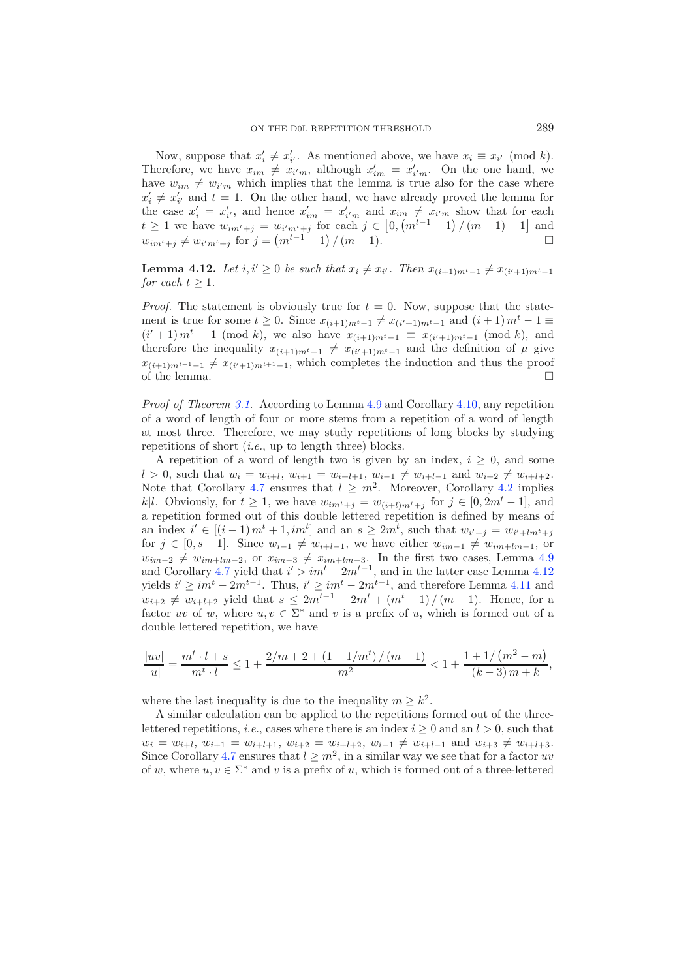Now, suppose that  $x'_i \neq x'_{i'}$ . As mentioned above, we have  $x_i \equiv x_{i'} \pmod{k}$ . Therefore, we have  $x_{im} \neq x_{i'm}$ , although  $x'_{im} = x'_{i'm}$ . On the one hand, we have  $w_{im} \neq w_{i'm}$  which implies that the lemma is true also for the case where  $x_i' \neq x_{i'}'$  and  $t = 1$ . On the other hand, we have already proved the lemma for the case  $x'_i = x'_{i'}$ , and hence  $x'_{im} = x'_{i'm}$  and  $x_{im} \neq x_{i'm}$  show that for each  $t \geq 1$  we have  $w_{im^{t}+j} = w_{i'm^{t}+j}$  for each  $j \in [0, (m^{t-1}-1)/(m-1)-1]$  and  $w_{im^{t}+j} \neq w_{i'm^{t}+j}$  for  $j = (m^{t-1}-1) \setminus (m-1)$ .

<span id="page-8-0"></span>**Lemma 4.12.** Let  $i, i' \geq 0$  be such that  $x_i \neq x_{i'}$ . Then  $x_{(i+1)m^t-1} \neq x_{(i'+1)m^t-1}$ *for each*  $t \geq 1$ *.* 

*Proof.* The statement is obviously true for  $t = 0$ . Now, suppose that the statement is true for some  $t \ge 0$ . Since  $x_{(i+1)m^t-1} \ne x_{(i'+1)m^t-1}$  and  $(i+1)m^t-1 \equiv$  $(i' + 1) m<sup>t</sup> - 1$  (mod k), we also have  $x_{(i+1)m<sup>t</sup> - 1} \equiv x_{(i'+1)m<sup>t</sup> - 1}$  (mod k), and therefore the inequality  $x_{(i+1)m^t-1} \neq x_{(i'+1)m^t-1}$  and the definition of  $\mu$  give  $x_{(i+1)m^{t+1}-1} \neq x_{(i'+1)m^{t+1}-1}$ , which completes the induction and thus the proof of the lemma.  $\Box$ 

*Proof of Theorem [3.1.](#page-2-0)* According to Lemma [4.9](#page-6-3) and Corollary [4.10,](#page-7-0) any repetition of a word of length of four or more stems from a repetition of a word of length at most three. Therefore, we may study repetitions of long blocks by studying repetitions of short (*i.e.*, up to length three) blocks.

A repetition of a word of length two is given by an index,  $i \geq 0$ , and some *l* > 0, such that  $w_i = w_{i+l}$ ,  $w_{i+1} = w_{i+l+1}$ ,  $w_{i-1} ≠ w_{i+l-1}$  and  $w_{i+2} ≠ w_{i+l+2}$ . Note that Corollary [4.7](#page-6-2) ensures that  $l \geq m^2$ . Moreover, Corollary [4.2](#page-3-3) implies *k*|l. Obviously, for  $t \geq 1$ , we have  $w_{im^t+j} = w_{(i+l)m^t+j}$  for  $j \in [0, 2m^t-1]$ , and a repetition formed out of this double lettered repetition is defined by means of an index  $i' \in [(i-1) m<sup>t</sup> + 1, im<sup>t</sup>]$  and an  $s \ge 2m<sup>t</sup>$ , such that  $w_{i'+j} = w_{i'+lm<sup>t</sup>+j}$ for  $j \in [0, s-1]$ . Since  $w_{i-1} \neq w_{i+l-1}$ , we have either  $w_{im-1} \neq w_{im+lm-1}$ , or  $w_{im-2} \neq w_{im+lm-2}$ , or  $x_{im-3} \neq x_{im+lm-3}$ . In the first two cases, Lemma [4.9](#page-6-3) and Corollary [4.7](#page-6-2) yield that  $i' > im^t - 2m^{t-1}$ , and in the latter case Lemma [4.12](#page-8-0) yields  $i' \ge im^t - 2m^{t-1}$ . Thus,  $i' \ge im^t - 2m^{t-1}$ , and therefore Lemma [4.11](#page-7-1) and  $w_{i+2} \neq w_{i+l+2}$  yield that  $s \leq 2m^{t-1} + 2m^t + (m^t - 1) / (m - 1)$ . Hence, for a factor uv of w, where  $u, v \in \Sigma^*$  and v is a prefix of u, which is formed out of a double lettered repetition, we have

$$
\frac{|uv|}{|u|} = \frac{m^t \cdot l + s}{m^t \cdot l} \le 1 + \frac{2/m + 2 + \left(1 - 1/m^t\right) / \left(m - 1\right)}{m^2} < 1 + \frac{1 + 1/\left(m^2 - m\right)}{(k - 3)\, m + k},
$$

where the last inequality is due to the inequality  $m \geq k^2$ .

A similar calculation can be applied to the repetitions formed out of the threelettered repetitions, *i.e.*, cases where there is an index  $i \geq 0$  and an  $l > 0$ , such that  $w_i = w_{i+l}, w_{i+1} = w_{i+l+1}, w_{i+2} = w_{i+l+2}, w_{i-1} \neq w_{i+l-1}$  and  $w_{i+3} \neq w_{i+l+3}$ . Since Corollary [4.7](#page-6-2) ensures that  $l \geq m^2$ , in a similar way we see that for a factor uv of w, where  $u, v \in \Sigma^*$  and v is a prefix of u, which is formed out of a three-lettered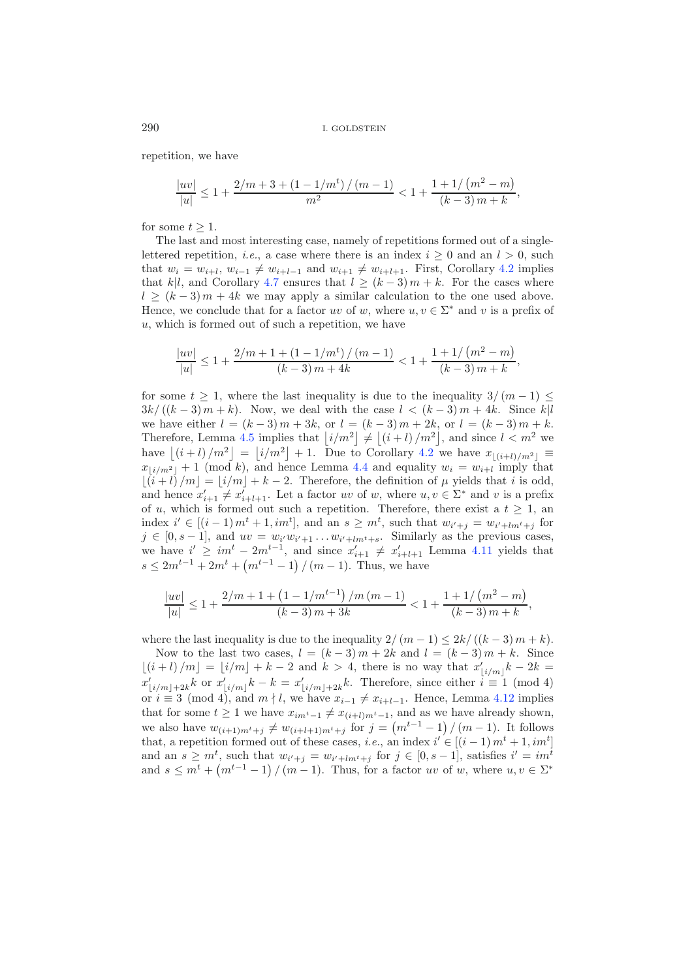repetition, we have

$$
\frac{|uv|}{|u|} \leq 1 + \frac{2/m + 3 + \left(1 - 1/m^t\right)/\left(m - 1\right)}{m^2} < 1 + \frac{1 + 1/\left(m^2 - m\right)}{\left(k - 3\right)m + k},
$$

for some  $t \geq 1$ .

The last and most interesting case, namely of repetitions formed out of a singlelettered repetition, *i.e.*, a case where there is an index  $i \geq 0$  and an  $l > 0$ , such that  $w_i = w_{i+l}, w_{i-1} \neq w_{i+l-1}$  and  $w_{i+1} \neq w_{i+l+1}$ . First, Corollary [4.2](#page-3-3) implies that k|l, and Corollary [4.7](#page-6-2) ensures that  $l \ge (k-3)m+k$ . For the cases where  $l \ge (k-3)m+4k$  we may apply a similar calculation to the one used above. Hence, we conclude that for a factor uv of w, where  $u, v \in \Sigma^*$  and v is a prefix of  $u$ , which is formed out of such a repetition, we have

$$
\frac{|uv|}{|u|} \le 1 + \frac{2/m + 1 + (1 - 1/m^t)/(m - 1)}{(k - 3)m + 4k} < 1 + \frac{1 + 1/(m^2 - m)}{(k - 3)m + k},
$$

for some  $t \geq 1$ , where the last inequality is due to the inequality  $3/(m-1) \leq$  $3k/((k-3)m+k)$ . Now, we deal with the case  $l < (k-3)m+4k$ . Since k|l we have either  $l = (k-3)m + 3k$ , or  $l = (k-3)m + 2k$ , or  $l = (k-3)m + k$ . Therefore, Lemma [4.5](#page-4-0) implies that  $\left| i/m^2 \right| \neq \left| (i + l)/m^2 \right|$ , and since  $l < m^2$  we have  $\lfloor (i+l)/m^2 \rfloor = \lfloor i/m^2 \rfloor + 1$ . Due to Corollary [4.2](#page-3-3) we have  $x_{\lfloor (i+l)/m^2 \rfloor} \equiv$  $x_{\lfloor i/m^2 \rfloor} + 1$  (mod k), and hence Lemma [4.4](#page-3-2) and equality  $w_i = w_{i+l}$  imply that  $|\tilde{i} + \tilde{i}|/m| = |i/m| + k - 2$ . Therefore, the definition of  $\mu$  yields that i is odd, and hence  $x'_{i+1} \neq x'_{i+l+1}$ . Let a factor uv of w, where  $u, v \in \Sigma^*$  and v is a prefix of u, which is formed out such a repetition. Therefore, there exist a  $t \geq 1$ , an index  $i' \in [(i-1)m<sup>t</sup> + 1, im<sup>t</sup>]$ , and an  $s \geq m<sup>t</sup>$ , such that  $w_{i'+j} = w_{i'+lm<sup>t</sup>+j}$  for  $j \in [0, s-1]$ , and  $uv = w_{i'}w_{i'+1} \ldots w_{i'+lm}t_{+s}$ . Similarly as the previous cases, we have  $i' \geq im^t - 2m^{t-1}$ , and since  $x'_{i+1} \neq x'_{i+l+1}$  Lemma [4.11](#page-7-1) yields that  $s \leq 2m^{t-1} + 2m^t + (m^{t-1} - 1) / (m - 1)$ . Thus, we have

$$
\frac{|uv|}{|u|} \le 1 + \frac{2/m + 1 + \left(1 - 1/m^{t-1}\right)/m(m-1)}{(k-3)m + 3k} < 1 + \frac{1 + 1/\left(m^2 - m\right)}{(k-3)m + k},
$$

where the last inequality is due to the inequality  $2/(m-1) \leq 2k/((k-3)m+k)$ . Now to the last two cases,  $l = (k-3)m + 2k$  and  $l = (k-3)m + k$ . Since  $\lfloor (i + l)/m \rfloor = \lfloor i/m \rfloor + k - 2$  and  $k > 4$ , there is no way that  $x'_{\lfloor i/m \rfloor} k - 2k =$  $x'_{\lfloor i/m\rfloor+2k}$ k or  $x'_{\lfloor i/m\rfloor}$ k – k =  $x'_{\lfloor i/m\rfloor+2k}$ k. Therefore, since either  $i \equiv 1 \pmod{4}$ or  $i \equiv 3 \pmod{4}$ , and  $m \nmid l$ , we have  $x_{i-1} \neq x_{i+l-1}$ . Hence, Lemma [4.12](#page-8-0) implies that for some  $t \geq 1$  we have  $x_{im^t-1} \neq x_{(i+l)m^t-1}$ , and as we have already shown, we also have  $w_{(i+1)m^t+j} \neq w_{(i+l+1)m^t+j}$  for  $j = (m^{t-1}-1)/(m-1)$ . It follows that, a repetition formed out of these cases, *i.e.*, an index  $i' \in [(i-1) m<sup>t</sup> + 1, im<sup>t</sup>]$ and an  $s \geq m^t$ , such that  $w_{i'+j} = w_{i'+lm^t+j}$  for  $j \in [0, s-1]$ , satisfies  $i' = im^t$ and  $s \leq m^t + (m^{t-1} - 1) / (m - 1)$ . Thus, for a factor uv of w, where  $u, v \in \Sigma^*$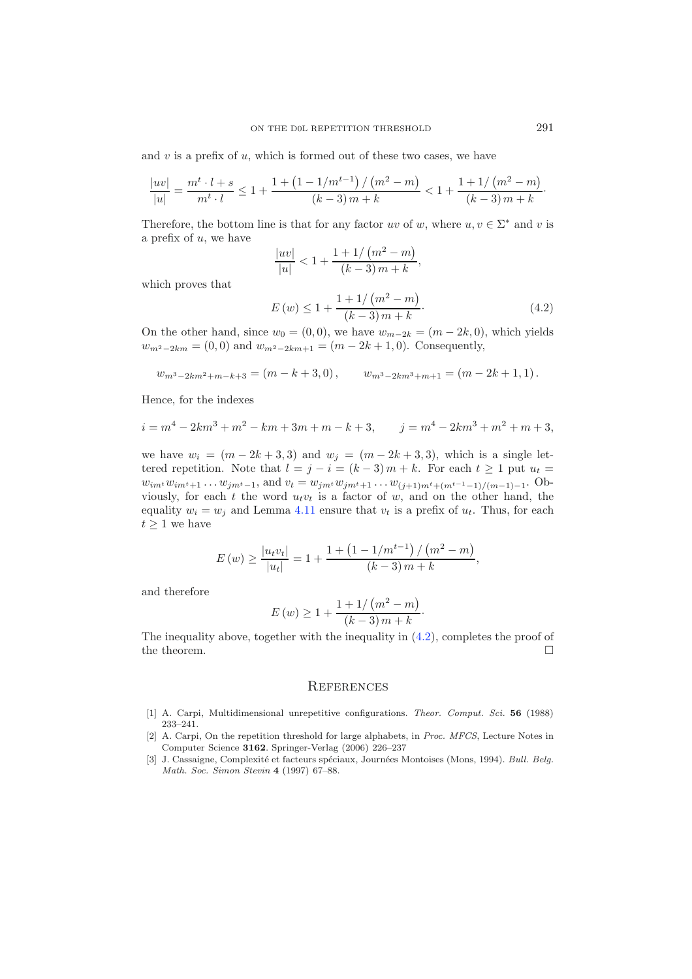<span id="page-10-3"></span>and  $v$  is a prefix of  $u$ , which is formed out of these two cases, we have

$$
\frac{\left|uv\right|}{\left|u\right|}=\frac{m^t\cdot l+s}{m^t\cdot l}\leq 1+\frac{1+\left(1-1/m^{t-1}\right)/\left(m^2-m\right)}{\left(k-3\right)m+k}<1+\frac{1+1/\left(m^2-m\right)}{\left(k-3\right)m+k}\cdot
$$

Therefore, the bottom line is that for any factor uv of w, where  $u, v \in \Sigma^*$  and v is a prefix of u, we have

$$
\frac{|uv|}{|u|} < 1 + \frac{1 + 1/(m^2 - m)}{(k-3)m + k},
$$

which proves that

$$
E(w) \le 1 + \frac{1 + 1/(m^2 - m)}{(k - 3)m + k}.
$$
\n(4.2)

On the other hand, since  $w_0 = (0, 0)$ , we have  $w_{m-2k} = (m-2k, 0)$ , which yields  $w_{m^2-2km} = (0,0)$  and  $w_{m^2-2km+1} = (m-2k+1,0)$ . Consequently,

$$
w_{m^3-2km^2+m-k+3} = (m-k+3,0),
$$
  $w_{m^3-2km^3+m+1} = (m-2k+1,1).$ 

Hence, for the indexes

$$
i = m4 - 2km3 + m2 - km + 3m + m - k + 3, \qquad j = m4 - 2km3 + m2 + m + 3,
$$

we have  $w_i = (m - 2k + 3, 3)$  and  $w_j = (m - 2k + 3, 3)$ , which is a single lettered repetition. Note that  $l = j - i = (k - 3)m + k$ . For each  $t \ge 1$  put  $u_t =$  $w_{im} \cdot w_{im} \cdot_{+1} \ldots w_{jm} \cdot_{-1}$ , and  $v_t = w_{jm} \cdot w_{jm} \cdot_{+1} \ldots w_{(j+1)m} \cdot_{+(m^{t-1}-1)/(m-1)-1}$ . Obviously, for each  $t$  the word  $u_t v_t$  is a factor of  $w$ , and on the other hand, the equality  $w_i = w_j$  and Lemma [4.11](#page-7-1) ensure that  $v_t$  is a prefix of  $u_t$ . Thus, for each  $t\geq 1$  we have

$$
E(w) \ge \frac{|u_t v_t|}{|u_t|} = 1 + \frac{1 + \left(1 - 1/m^{t-1}\right) / \left(m^2 - m\right)}{(k-3) m + k},
$$

and therefore

$$
E(w) \ge 1 + \frac{1 + 1/(m^2 - m)}{(k - 3)m + k}.
$$

The inequality above, together with the inequality in  $(4.2)$ , completes the proof of the theorem.  $\hfill \square$ 

# **REFERENCES**

- <span id="page-10-0"></span>[1] A. Carpi, Multidimensional unrepetitive configurations. *Theor. Comput. Sci.* **56** (1988) 233–241.
- <span id="page-10-1"></span>[2] A. Carpi, On the repetition threshold for large alphabets, in *Proc. MFCS*, Lecture Notes in Computer Science **3162**. Springer-Verlag (2006) 226–237
- <span id="page-10-2"></span>[3] J. Cassaigne, Complexit´e et facteurs sp´eciaux, Journ´ees Montoises (Mons, 1994). *Bull. Belg. Math. Soc. Simon Stevin* **4** (1997) 67–88.